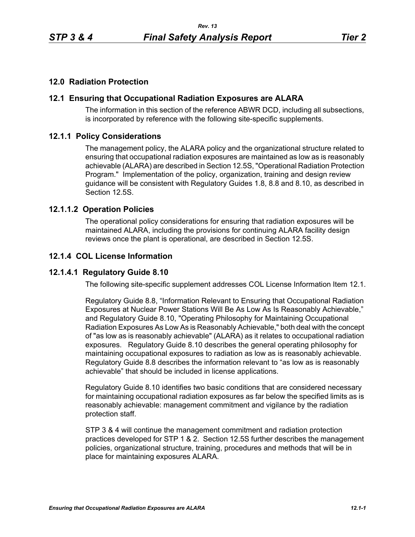## **12.0 Radiation Protection**

### **12.1 Ensuring that Occupational Radiation Exposures are ALARA**

The information in this section of the reference ABWR DCD, including all subsections, is incorporated by reference with the following site-specific supplements.

### **12.1.1 Policy Considerations**

The management policy, the ALARA policy and the organizational structure related to ensuring that occupational radiation exposures are maintained as low as is reasonably achievable (ALARA) are described in Section 12.5S, "Operational Radiation Protection Program." Implementation of the policy, organization, training and design review guidance will be consistent with Regulatory Guides 1.8, 8.8 and 8.10, as described in Section 12.5S.

### **12.1.1.2 Operation Policies**

The operational policy considerations for ensuring that radiation exposures will be maintained ALARA, including the provisions for continuing ALARA facility design reviews once the plant is operational, are described in Section 12.5S.

## **12.1.4 COL License Information**

## **12.1.4.1 Regulatory Guide 8.10**

The following site-specific supplement addresses COL License Information Item 12.1.

Regulatory Guide 8.8, "Information Relevant to Ensuring that Occupational Radiation Exposures at Nuclear Power Stations Will Be As Low As Is Reasonably Achievable," and Regulatory Guide 8.10, "Operating Philosophy for Maintaining Occupational Radiation Exposures As Low As is Reasonably Achievable," both deal with the concept of "as low as is reasonably achievable" (ALARA) as it relates to occupational radiation exposures. Regulatory Guide 8.10 describes the general operating philosophy for maintaining occupational exposures to radiation as low as is reasonably achievable. Regulatory Guide 8.8 describes the information relevant to "as low as is reasonably achievable" that should be included in license applications.

Regulatory Guide 8.10 identifies two basic conditions that are considered necessary for maintaining occupational radiation exposures as far below the specified limits as is reasonably achievable: management commitment and vigilance by the radiation protection staff.

STP 3 & 4 will continue the management commitment and radiation protection practices developed for STP 1 & 2. Section 12.5S further describes the management policies, organizational structure, training, procedures and methods that will be in place for maintaining exposures ALARA.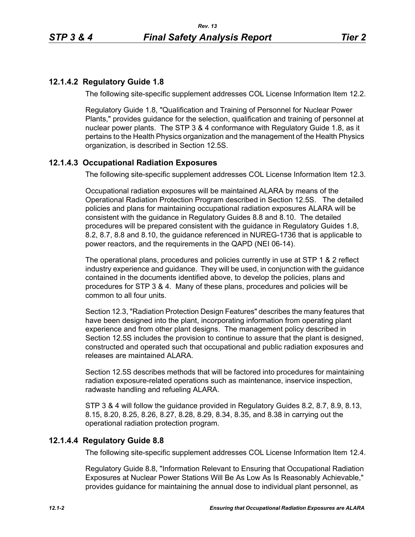# **12.1.4.2 Regulatory Guide 1.8**

The following site-specific supplement addresses COL License Information Item 12.2.

Regulatory Guide 1.8, "Qualification and Training of Personnel for Nuclear Power Plants," provides guidance for the selection, qualification and training of personnel at nuclear power plants. The STP 3 & 4 conformance with Regulatory Guide 1.8, as it pertains to the Health Physics organization and the management of the Health Physics organization, is described in Section 12.5S.

# **12.1.4.3 Occupational Radiation Exposures**

The following site-specific supplement addresses COL License Information Item 12.3.

Occupational radiation exposures will be maintained ALARA by means of the Operational Radiation Protection Program described in Section 12.5S. The detailed policies and plans for maintaining occupational radiation exposures ALARA will be consistent with the guidance in Regulatory Guides 8.8 and 8.10. The detailed procedures will be prepared consistent with the guidance in Regulatory Guides 1.8, 8.2, 8.7, 8.8 and 8.10, the guidance referenced in NUREG-1736 that is applicable to power reactors, and the requirements in the QAPD (NEI 06-14).

The operational plans, procedures and policies currently in use at STP 1 & 2 reflect industry experience and guidance. They will be used, in conjunction with the guidance contained in the documents identified above, to develop the policies, plans and procedures for STP 3 & 4. Many of these plans, procedures and policies will be common to all four units.

Section 12.3, "Radiation Protection Design Features" describes the many features that have been designed into the plant, incorporating information from operating plant experience and from other plant designs. The management policy described in Section 12.5S includes the provision to continue to assure that the plant is designed, constructed and operated such that occupational and public radiation exposures and releases are maintained ALARA

Section 12.5S describes methods that will be factored into procedures for maintaining radiation exposure-related operations such as maintenance, inservice inspection, radwaste handling and refueling ALARA.

STP 3 & 4 will follow the guidance provided in Regulatory Guides 8.2, 8.7, 8.9, 8.13, 8.15, 8.20, 8.25, 8.26, 8.27, 8.28, 8.29, 8.34, 8.35, and 8.38 in carrying out the operational radiation protection program.

# **12.1.4.4 Regulatory Guide 8.8**

The following site-specific supplement addresses COL License Information Item 12.4.

Regulatory Guide 8.8, "Information Relevant to Ensuring that Occupational Radiation Exposures at Nuclear Power Stations Will Be As Low As Is Reasonably Achievable," provides guidance for maintaining the annual dose to individual plant personnel, as